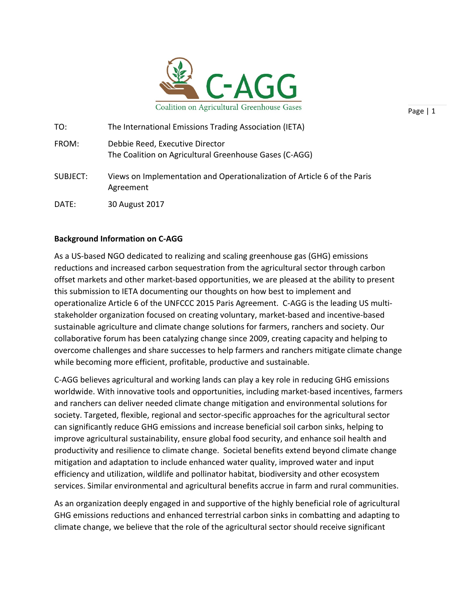

| TO:      | The International Emissions Trading Association (IETA)                                    |
|----------|-------------------------------------------------------------------------------------------|
| FROM:    | Debbie Reed, Executive Director<br>The Coalition on Agricultural Greenhouse Gases (C-AGG) |
| SUBJECT: | Views on Implementation and Operationalization of Article 6 of the Paris<br>Agreement     |
| DATE:    | 30 August 2017                                                                            |

## **Background Information on C-AGG**

As a US-based NGO dedicated to realizing and scaling greenhouse gas (GHG) emissions reductions and increased carbon sequestration from the agricultural sector through carbon offset markets and other market-based opportunities, we are pleased at the ability to present this submission to IETA documenting our thoughts on how best to implement and operationalize Article 6 of the UNFCCC 2015 Paris Agreement. C-AGG is the leading US multistakeholder organization focused on creating voluntary, market-based and incentive-based sustainable agriculture and climate change solutions for farmers, ranchers and society. Our collaborative forum has been catalyzing change since 2009, creating capacity and helping to overcome challenges and share successes to help farmers and ranchers mitigate climate change while becoming more efficient, profitable, productive and sustainable.

C-AGG believes agricultural and working lands can play a key role in reducing GHG emissions worldwide. With innovative tools and opportunities, including market-based incentives, farmers and ranchers can deliver needed climate change mitigation and environmental solutions for society. Targeted, flexible, regional and sector-specific approaches for the agricultural sector can significantly reduce GHG emissions and increase beneficial soil carbon sinks, helping to improve agricultural sustainability, ensure global food security, and enhance soil health and productivity and resilience to climate change. Societal benefits extend beyond climate change mitigation and adaptation to include enhanced water quality, improved water and input efficiency and utilization, wildlife and pollinator habitat, biodiversity and other ecosystem services. Similar environmental and agricultural benefits accrue in farm and rural communities.

As an organization deeply engaged in and supportive of the highly beneficial role of agricultural GHG emissions reductions and enhanced terrestrial carbon sinks in combatting and adapting to climate change, we believe that the role of the agricultural sector should receive significant

Page | 1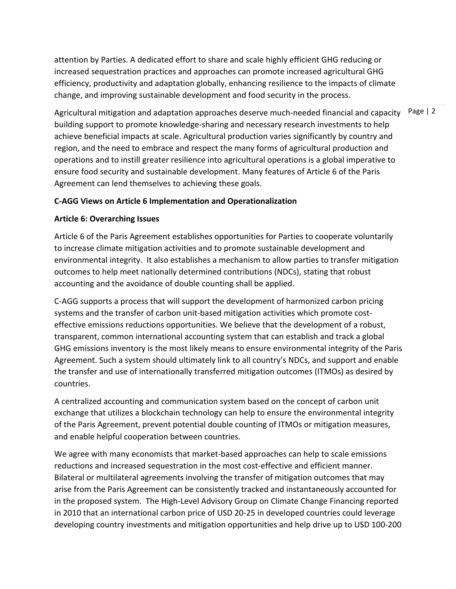attention by Parties. A dedicated effort to share and scale highly efficient GHG reducing or increased sequestration practices and approaches can promote increased agricultural GHG efficiency, productivity and adaptation globally, enhancing resilience to the impacts of climate change, and improving sustainable development and food security in the process.

Agricultural mitigation and adaptation approaches deserve much-needed financial and capacity <sup>Page</sup> | 2 building support to promote knowledge-sharing and necessary research investments to help achieve beneficial impacts at scale. Agricultural production varies significantly by country and region, and the need to embrace and respect the many forms of agricultural production and operations and to instill greater resilience into agricultural operations is a global imperative to ensure food security and sustainable development. Many features of Article 6 of the Paris Agreement can lend themselves to achieving these goals.

# **C-AGG Views on Article 6 Implementation and Operationalization**

# **Article 6: Overarching Issues**

Article 6 of the Paris Agreement establishes opportunities for Parties to cooperate voluntarily to increase climate mitigation activities and to promote sustainable development and environmental integrity. It also establishes a mechanism to allow parties to transfer mitigation outcomes to help meet nationally determined contributions (NDCs), stating that robust accounting and the avoidance of double counting shall be applied.

C-AGG supports a process that will support the development of harmonized carbon pricing systems and the transfer of carbon unit-based mitigation activities which promote costeffective emissions reductions opportunities. We believe that the development of a robust, transparent, common international accounting system that can establish and track a global GHG emissions inventory is the most likely means to ensure environmental integrity of the Paris Agreement. Such a system should ultimately link to all country's NDCs, and support and enable the transfer and use of internationally transferred mitigation outcomes (ITMOs) as desired by countries. 

A centralized accounting and communication system based on the concept of carbon unit exchange that utilizes a blockchain technology can help to ensure the environmental integrity of the Paris Agreement, prevent potential double counting of ITMOs or mitigation measures, and enable helpful cooperation between countries.

We agree with many economists that market-based approaches can help to scale emissions reductions and increased sequestration in the most cost-effective and efficient manner. Bilateral or multilateral agreements involving the transfer of mitigation outcomes that may arise from the Paris Agreement can be consistently tracked and instantaneously accounted for in the proposed system. The High-Level Advisory Group on Climate Change Financing reported in 2010 that an international carbon price of USD 20-25 in developed countries could leverage developing country investments and mitigation opportunities and help drive up to USD 100-200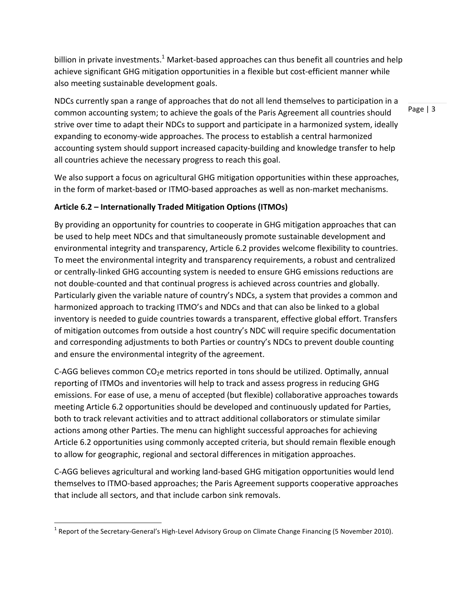billion in private investments.<sup>1</sup> Market-based approaches can thus benefit all countries and help achieve significant GHG mitigation opportunities in a flexible but cost-efficient manner while also meeting sustainable development goals.

NDCs currently span a range of approaches that do not all lend themselves to participation in a common accounting system; to achieve the goals of the Paris Agreement all countries should strive over time to adapt their NDCs to support and participate in a harmonized system, ideally expanding to economy-wide approaches. The process to establish a central harmonized accounting system should support increased capacity-building and knowledge transfer to help all countries achieve the necessary progress to reach this goal.

We also support a focus on agricultural GHG mitigation opportunities within these approaches, in the form of market-based or ITMO-based approaches as well as non-market mechanisms.

# Article 6.2 – Internationally Traded Mitigation Options (ITMOs)

By providing an opportunity for countries to cooperate in GHG mitigation approaches that can be used to help meet NDCs and that simultaneously promote sustainable development and environmental integrity and transparency, Article 6.2 provides welcome flexibility to countries. To meet the environmental integrity and transparency requirements, a robust and centralized or centrally-linked GHG accounting system is needed to ensure GHG emissions reductions are not double-counted and that continual progress is achieved across countries and globally. Particularly given the variable nature of country's NDCs, a system that provides a common and harmonized approach to tracking ITMO's and NDCs and that can also be linked to a global inventory is needed to guide countries towards a transparent, effective global effort. Transfers of mitigation outcomes from outside a host country's NDC will require specific documentation and corresponding adjustments to both Parties or country's NDCs to prevent double counting and ensure the environmental integrity of the agreement.

C-AGG believes common  $CO<sub>2</sub>e$  metrics reported in tons should be utilized. Optimally, annual reporting of ITMOs and inventories will help to track and assess progress in reducing GHG emissions. For ease of use, a menu of accepted (but flexible) collaborative approaches towards meeting Article 6.2 opportunities should be developed and continuously updated for Parties, both to track relevant activities and to attract additional collaborators or stimulate similar actions among other Parties. The menu can highlight successful approaches for achieving Article 6.2 opportunities using commonly accepted criteria, but should remain flexible enough to allow for geographic, regional and sectoral differences in mitigation approaches.

C-AGG believes agricultural and working land-based GHG mitigation opportunities would lend themselves to ITMO-based approaches; the Paris Agreement supports cooperative approaches that include all sectors, and that include carbon sink removals.

 

Page  $| 3$ 

 $^1$  Report of the Secretary-General's High-Level Advisory Group on Climate Change Financing (5 November 2010).